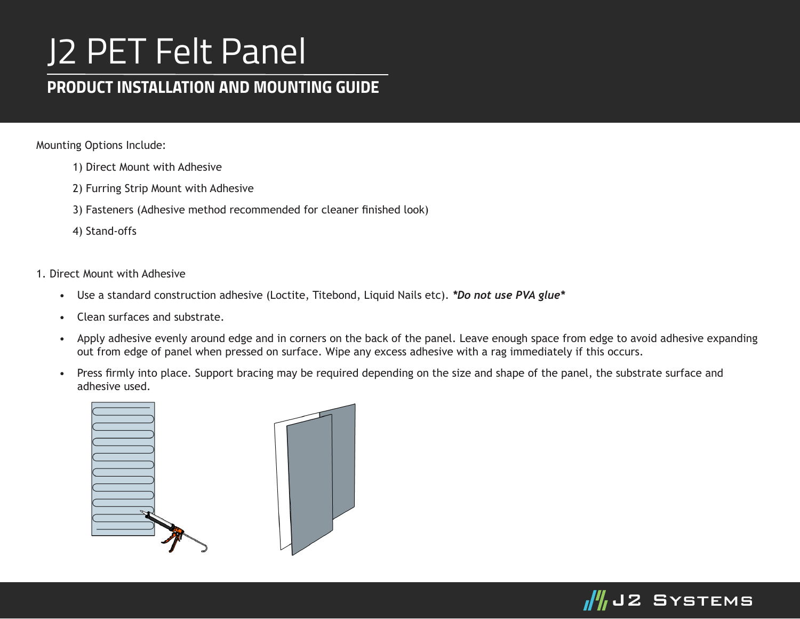## J2 PET Felt Panel

## *PRODUCT INSTALLATION AND MOUNTING GUIDE*

Mounting Options Include:

- 1) Direct Mount with Adhesive
- 2) Furring Strip Mount with Adhesive
- 3) Fasteners (Adhesive method recommended for cleaner finished look)
- 4) Stand-offs

1. Direct Mount with Adhesive

- Use a standard construction adhesive (Loctite, Titebond, Liquid Nails etc). *\*Do not use PVA glue\**
- Clean surfaces and substrate.
- Apply adhesive evenly around edge and in corners on the back of the panel. Leave enough space from edge to avoid adhesive expanding out from edge of panel when pressed on surface. Wipe any excess adhesive with a rag immediately if this occurs.
- Press firmly into place. Support bracing may be required depending on the size and shape of the panel, the substrate surface and adhesive used.